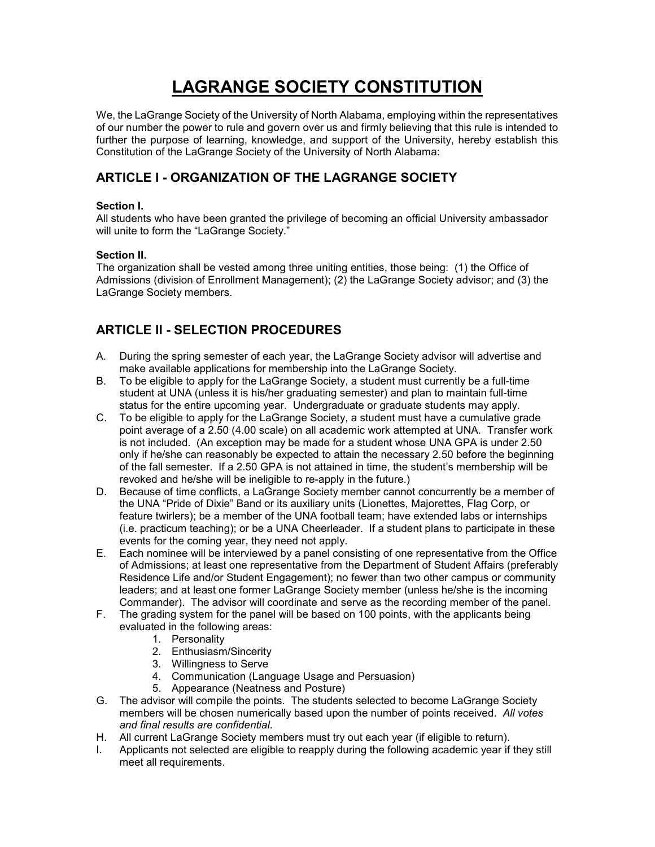# **LAGRANGE SOCIETY CONSTITUTION**

We, the LaGrange Society of the University of North Alabama, employing within the representatives of our number the power to rule and govern over us and firmly believing that this rule is intended to further the purpose of learning, knowledge, and support of the University, hereby establish this Constitution of the LaGrange Society of the University of North Alabama:

## **ARTICLE I - ORGANIZATION OF THE LAGRANGE SOCIETY**

#### **Section I.**

All students who have been granted the privilege of becoming an official University ambassador will unite to form the "LaGrange Society."

#### **Section II.**

The organization shall be vested among three uniting entities, those being: (1) the Office of Admissions (division of Enrollment Management); (2) the LaGrange Society advisor; and (3) the LaGrange Society members.

## **ARTICLE II - SELECTION PROCEDURES**

- A. During the spring semester of each year, the LaGrange Society advisor will advertise and make available applications for membership into the LaGrange Society.
- B. To be eligible to apply for the LaGrange Society, a student must currently be a full-time student at UNA (unless it is his/her graduating semester) and plan to maintain full-time status for the entire upcoming year. Undergraduate or graduate students may apply.
- C. To be eligible to apply for the LaGrange Society, a student must have a cumulative grade point average of a 2.50 (4.00 scale) on all academic work attempted at UNA. Transfer work is not included. (An exception may be made for a student whose UNA GPA is under 2.50 only if he/she can reasonably be expected to attain the necessary 2.50 before the beginning of the fall semester. If a 2.50 GPA is not attained in time, the student's membership will be revoked and he/she will be ineligible to re-apply in the future.)
- D. Because of time conflicts, a LaGrange Society member cannot concurrently be a member of the UNA "Pride of Dixie" Band or its auxiliary units (Lionettes, Majorettes, Flag Corp, or feature twirlers); be a member of the UNA football team; have extended labs or internships (i.e. practicum teaching); or be a UNA Cheerleader. If a student plans to participate in these events for the coming year, they need not apply.
- E. Each nominee will be interviewed by a panel consisting of one representative from the Office of Admissions; at least one representative from the Department of Student Affairs (preferably Residence Life and/or Student Engagement); no fewer than two other campus or community leaders; and at least one former LaGrange Society member (unless he/she is the incoming Commander). The advisor will coordinate and serve as the recording member of the panel.
- F. The grading system for the panel will be based on 100 points, with the applicants being evaluated in the following areas:
	- 1. Personality
	- 2. Enthusiasm/Sincerity
	- 3. Willingness to Serve
	- 4. Communication (Language Usage and Persuasion)
	- 5. Appearance (Neatness and Posture)
- G. The advisor will compile the points. The students selected to become LaGrange Society members will be chosen numerically based upon the number of points received. *All votes and final results are confidential*.
- H. All current LaGrange Society members must try out each year (if eligible to return).
- I. Applicants not selected are eligible to reapply during the following academic year if they still meet all requirements.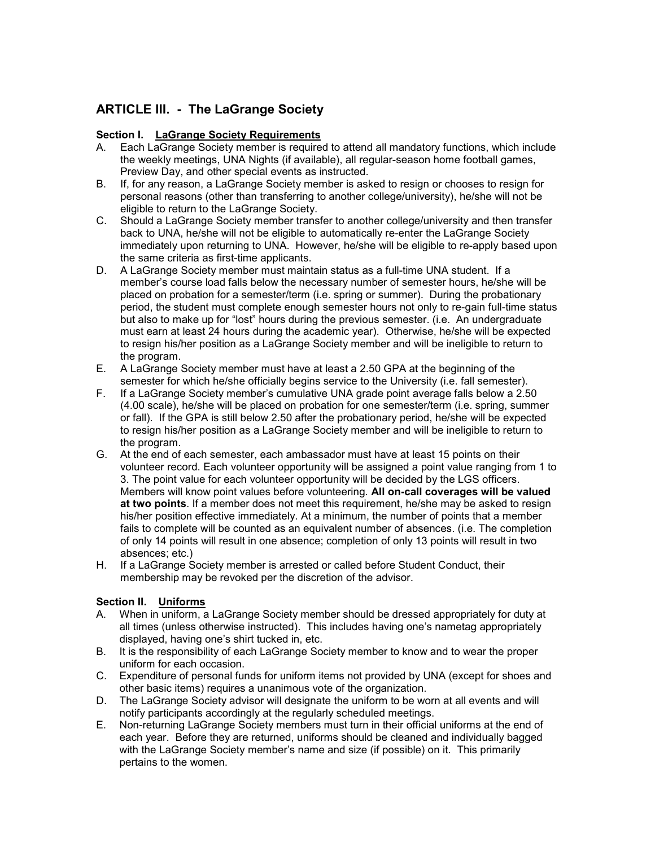## **ARTICLE III. - The LaGrange Society**

## **Section I. LaGrange Society Requirements**

- A. Each LaGrange Society member is required to attend all mandatory functions, which include the weekly meetings, UNA Nights (if available), all regular-season home football games, Preview Day, and other special events as instructed.
- B. If, for any reason, a LaGrange Society member is asked to resign or chooses to resign for personal reasons (other than transferring to another college/university), he/she will not be eligible to return to the LaGrange Society.
- C. Should a LaGrange Society member transfer to another college/university and then transfer back to UNA, he/she will not be eligible to automatically re-enter the LaGrange Society immediately upon returning to UNA. However, he/she will be eligible to re-apply based upon the same criteria as first-time applicants.
- D. A LaGrange Society member must maintain status as a full-time UNA student. If a member's course load falls below the necessary number of semester hours, he/she will be placed on probation for a semester/term (i.e. spring or summer). During the probationary period, the student must complete enough semester hours not only to re-gain full-time status but also to make up for "lost" hours during the previous semester. (i.e. An undergraduate must earn at least 24 hours during the academic year). Otherwise, he/she will be expected to resign his/her position as a LaGrange Society member and will be ineligible to return to the program.
- E. A LaGrange Society member must have at least a 2.50 GPA at the beginning of the semester for which he/she officially begins service to the University (i.e. fall semester).
- F. If a LaGrange Society member's cumulative UNA grade point average falls below a 2.50 (4.00 scale), he/she will be placed on probation for one semester/term (i.e. spring, summer or fall). If the GPA is still below 2.50 after the probationary period, he/she will be expected to resign his/her position as a LaGrange Society member and will be ineligible to return to the program.
- G. At the end of each semester, each ambassador must have at least 15 points on their volunteer record. Each volunteer opportunity will be assigned a point value ranging from 1 to 3. The point value for each volunteer opportunity will be decided by the LGS officers. Members will know point values before volunteering. **All on-call coverages will be valued at two points**. If a member does not meet this requirement, he/she may be asked to resign his/her position effective immediately. At a minimum, the number of points that a member fails to complete will be counted as an equivalent number of absences. (i.e. The completion of only 14 points will result in one absence; completion of only 13 points will result in two absences; etc.)
- H. If a LaGrange Society member is arrested or called before Student Conduct, their membership may be revoked per the discretion of the advisor.

### **Section II. Uniforms**

- A. When in uniform, a LaGrange Society member should be dressed appropriately for duty at all times (unless otherwise instructed). This includes having one's nametag appropriately displayed, having one's shirt tucked in, etc.
- B. It is the responsibility of each LaGrange Society member to know and to wear the proper uniform for each occasion.
- C. Expenditure of personal funds for uniform items not provided by UNA (except for shoes and other basic items) requires a unanimous vote of the organization.
- D. The LaGrange Society advisor will designate the uniform to be worn at all events and will notify participants accordingly at the regularly scheduled meetings.
- E. Non-returning LaGrange Society members must turn in their official uniforms at the end of each year. Before they are returned, uniforms should be cleaned and individually bagged with the LaGrange Society member's name and size (if possible) on it. This primarily pertains to the women.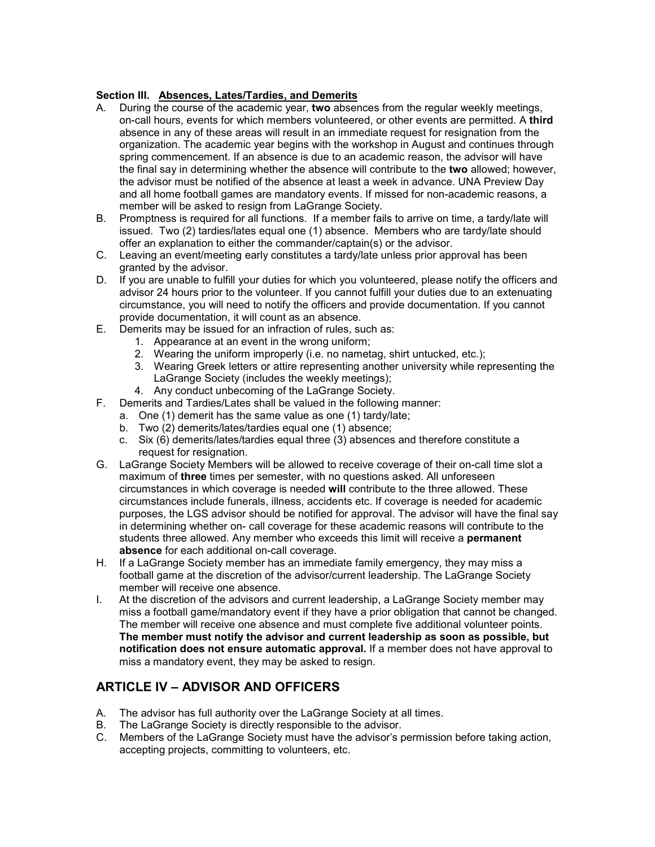### **Section III. Absences, Lates/Tardies, and Demerits**

- A. During the course of the academic year, **two** absences from the regular weekly meetings, on-call hours, events for which members volunteered, or other events are permitted. A **third**  absence in any of these areas will result in an immediate request for resignation from the organization. The academic year begins with the workshop in August and continues through spring commencement. If an absence is due to an academic reason, the advisor will have the final say in determining whether the absence will contribute to the **two** allowed; however, the advisor must be notified of the absence at least a week in advance. UNA Preview Day and all home football games are mandatory events. If missed for non-academic reasons, a member will be asked to resign from LaGrange Society.
- B. Promptness is required for all functions. If a member fails to arrive on time, a tardy/late will issued. Two (2) tardies/lates equal one (1) absence. Members who are tardy/late should offer an explanation to either the commander/captain(s) or the advisor.
- C. Leaving an event/meeting early constitutes a tardy/late unless prior approval has been granted by the advisor.
- D. If you are unable to fulfill your duties for which you volunteered, please notify the officers and advisor 24 hours prior to the volunteer. If you cannot fulfill your duties due to an extenuating circumstance, you will need to notify the officers and provide documentation. If you cannot provide documentation, it will count as an absence.
- E. Demerits may be issued for an infraction of rules, such as:
	- 1. Appearance at an event in the wrong uniform;
	- 2. Wearing the uniform improperly (i.e. no nametag, shirt untucked, etc.);
	- 3. Wearing Greek letters or attire representing another university while representing the LaGrange Society (includes the weekly meetings);
	- 4. Any conduct unbecoming of the LaGrange Society.
- F. Demerits and Tardies/Lates shall be valued in the following manner:
	- a. One (1) demerit has the same value as one (1) tardy/late;
		- b. Two (2) demerits/lates/tardies equal one (1) absence;
		- c. Six (6) demerits/lates/tardies equal three (3) absences and therefore constitute a request for resignation.
- G. LaGrange Society Members will be allowed to receive coverage of their on-call time slot a maximum of **three** times per semester, with no questions asked. All unforeseen circumstances in which coverage is needed **will** contribute to the three allowed. These circumstances include funerals, illness, accidents etc. If coverage is needed for academic purposes, the LGS advisor should be notified for approval. The advisor will have the final say in determining whether on- call coverage for these academic reasons will contribute to the students three allowed. Any member who exceeds this limit will receive a **permanent absence** for each additional on-call coverage.
- H. If a LaGrange Society member has an immediate family emergency, they may miss a football game at the discretion of the advisor/current leadership. The LaGrange Society member will receive one absence.
- I. At the discretion of the advisors and current leadership, a LaGrange Society member may miss a football game/mandatory event if they have a prior obligation that cannot be changed. The member will receive one absence and must complete five additional volunteer points. **The member must notify the advisor and current leadership as soon as possible, but notification does not ensure automatic approval.** If a member does not have approval to miss a mandatory event, they may be asked to resign.

# **ARTICLE IV – ADVISOR AND OFFICERS**

- A. The advisor has full authority over the LaGrange Society at all times.
- B. The LaGrange Society is directly responsible to the advisor.
- C. Members of the LaGrange Society must have the advisor's permission before taking action, accepting projects, committing to volunteers, etc.